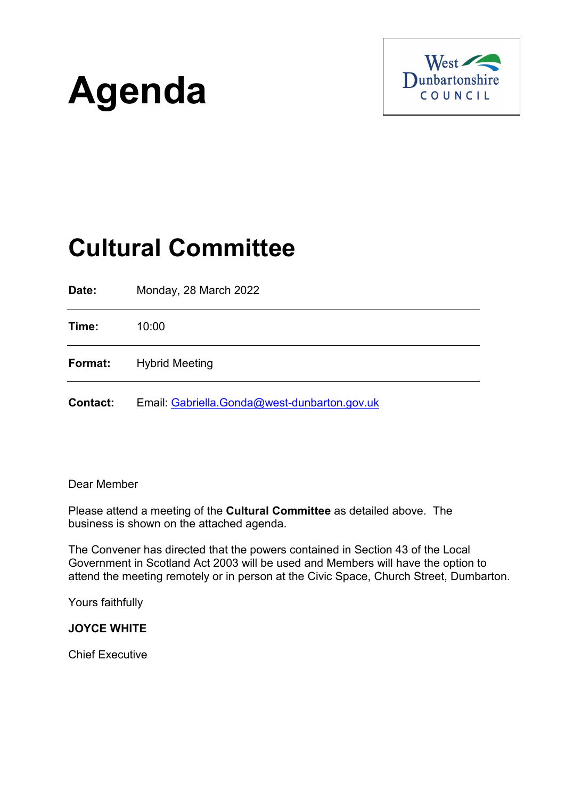



# **Cultural Committee**

| Date:           | Monday, 28 March 2022                        |
|-----------------|----------------------------------------------|
| Time:           | 10:00                                        |
| Format:         | <b>Hybrid Meeting</b>                        |
| <b>Contact:</b> | Email: Gabriella.Gonda@west-dunbarton.gov.uk |

# Dear Member

Please attend a meeting of the **Cultural Committee** as detailed above. The business is shown on the attached agenda.

The Convener has directed that the powers contained in Section 43 of the Local Government in Scotland Act 2003 will be used and Members will have the option to attend the meeting remotely or in person at the Civic Space, Church Street, Dumbarton.

Yours faithfully

## **JOYCE WHITE**

Chief Executive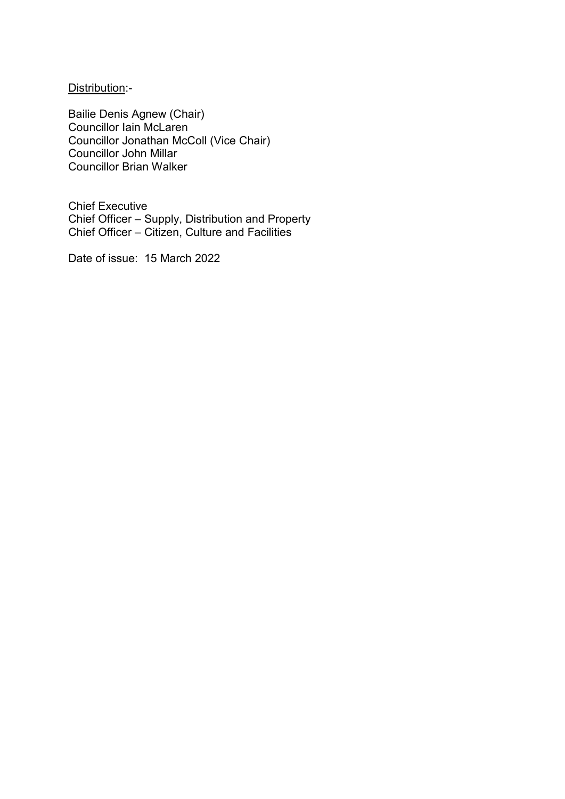Distribution:-

Bailie Denis Agnew (Chair) Councillor Iain McLaren Councillor Jonathan McColl (Vice Chair) Councillor John Millar Councillor Brian Walker

Chief Executive Chief Officer – Supply, Distribution and Property Chief Officer – Citizen, Culture and Facilities

Date of issue: 15 March 2022